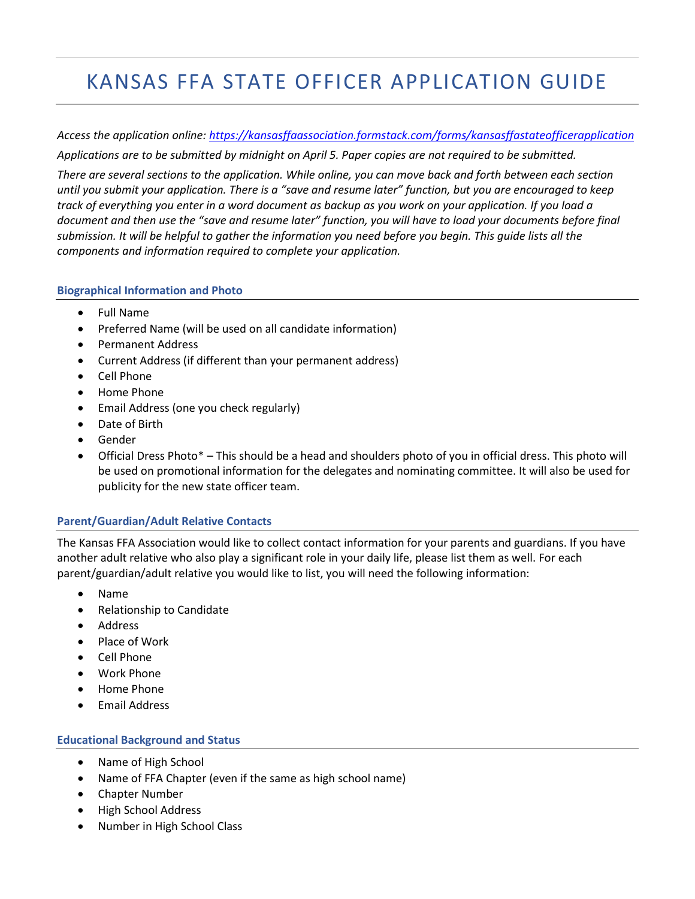# KANSAS FFA STATE OFFICER APPLICATION GUIDE

*Access the application online: [https://kansasffaassociation.formstack.com/forms/kansasffastateofficerapplication](https://kansasffaassociation.formstack.com/forms/kansasffastateofficerapplication2022) Applications are to be submitted by midnight on April 5. Paper copies are not required to be submitted.*

*There are several sections to the application. While online, you can move back and forth between each section until you submit your application. There is a "save and resume later" function, but you are encouraged to keep track of everything you enter in a word document as backup as you work on your application. If you load a document and then use the "save and resume later" function, you will have to load your documents before final submission. It will be helpful to gather the information you need before you begin. This guide lists all the components and information required to complete your application.*

#### **Biographical Information and Photo**

- Full Name
- Preferred Name (will be used on all candidate information)
- Permanent Address
- Current Address (if different than your permanent address)
- Cell Phone
- Home Phone
- Email Address (one you check regularly)
- Date of Birth
- Gender
- Official Dress Photo\* This should be a head and shoulders photo of you in official dress. This photo will be used on promotional information for the delegates and nominating committee. It will also be used for publicity for the new state officer team.

# **Parent/Guardian/Adult Relative Contacts**

The Kansas FFA Association would like to collect contact information for your parents and guardians. If you have another adult relative who also play a significant role in your daily life, please list them as well. For each parent/guardian/adult relative you would like to list, you will need the following information:

- Name
- Relationship to Candidate
- **Address**
- Place of Work
- Cell Phone
- Work Phone
- Home Phone
- Email Address

# **Educational Background and Status**

- Name of High School
- Name of FFA Chapter (even if the same as high school name)
- Chapter Number
- High School Address
- Number in High School Class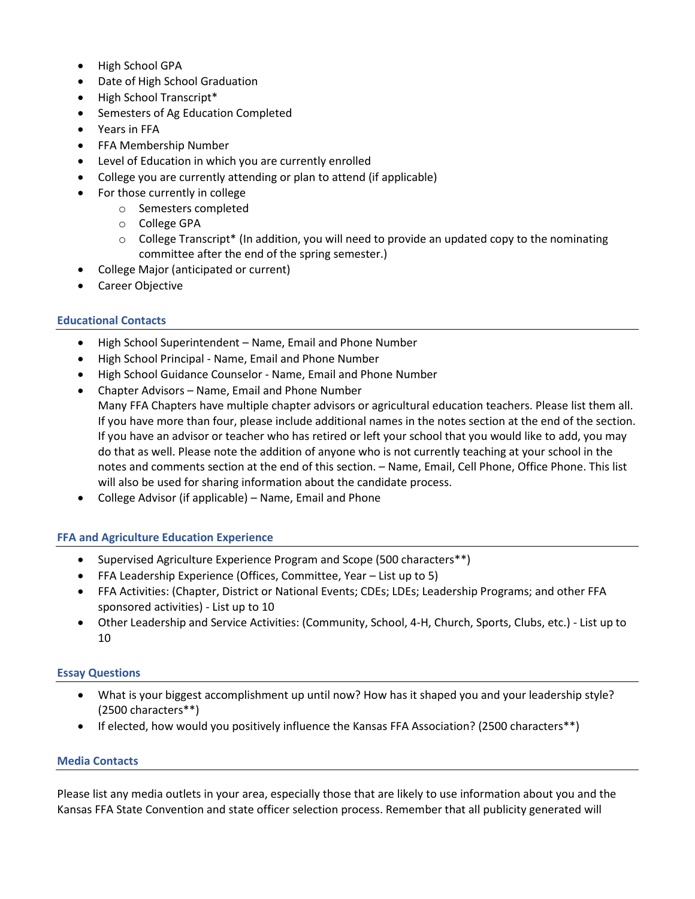- High School GPA
- Date of High School Graduation
- High School Transcript\*
- Semesters of Ag Education Completed
- Years in FFA
- FFA Membership Number
- Level of Education in which you are currently enrolled
- College you are currently attending or plan to attend (if applicable)
- For those currently in college
	- o Semesters completed
	- o College GPA
	- $\circ$  College Transcript\* (In addition, you will need to provide an updated copy to the nominating committee after the end of the spring semester.)
- College Major (anticipated or current)
- Career Objective

# **Educational Contacts**

- High School Superintendent Name, Email and Phone Number
- High School Principal Name, Email and Phone Number
- High School Guidance Counselor Name, Email and Phone Number
- Chapter Advisors Name, Email and Phone Number Many FFA Chapters have multiple chapter advisors or agricultural education teachers. Please list them all. If you have more than four, please include additional names in the notes section at the end of the section. If you have an advisor or teacher who has retired or left your school that you would like to add, you may do that as well. Please note the addition of anyone who is not currently teaching at your school in the notes and comments section at the end of this section. – Name, Email, Cell Phone, Office Phone. This list will also be used for sharing information about the candidate process.
- College Advisor (if applicable) Name, Email and Phone

# **FFA and Agriculture Education Experience**

- Supervised Agriculture Experience Program and Scope (500 characters\*\*)
- FFA Leadership Experience (Offices, Committee, Year List up to 5)
- FFA Activities: (Chapter, District or National Events; CDEs; LDEs; Leadership Programs; and other FFA sponsored activities) - List up to 10
- Other Leadership and Service Activities: (Community, School, 4-H, Church, Sports, Clubs, etc.) List up to 10

# **Essay Questions**

- What is your biggest accomplishment up until now? How has it shaped you and your leadership style? (2500 characters\*\*)
- If elected, how would you positively influence the Kansas FFA Association? (2500 characters\*\*)

# **Media Contacts**

Please list any media outlets in your area, especially those that are likely to use information about you and the Kansas FFA State Convention and state officer selection process. Remember that all publicity generated will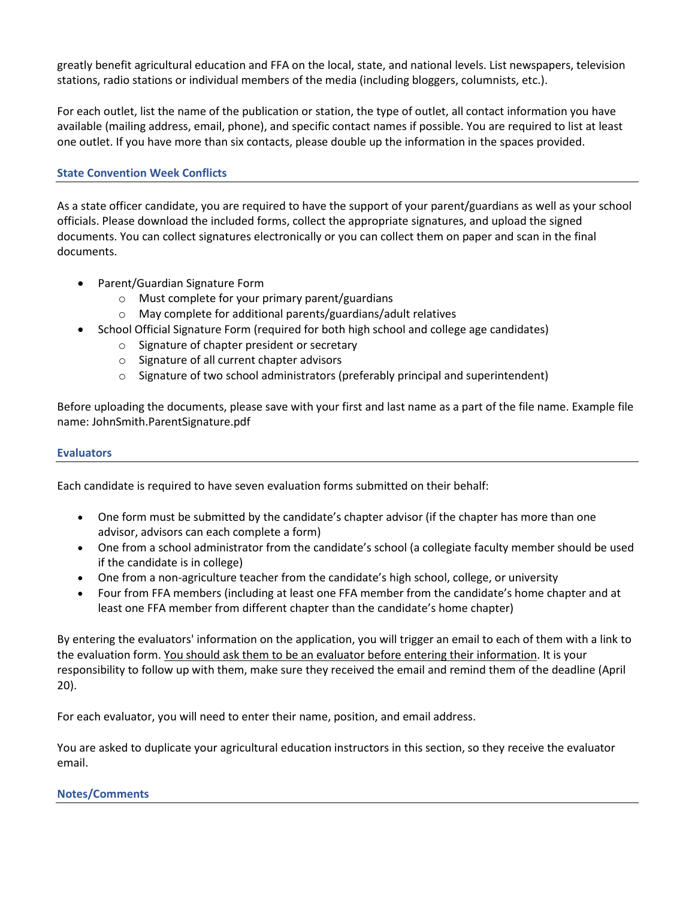greatly benefit agricultural education and FFA on the local, state, and national levels. List newspapers, television stations, radio stations or individual members of the media (including bloggers, columnists, etc.).

For each outlet, list the name of the publication or station, the type of outlet, all contact information you have available (mailing address, email, phone), and specific contact names if possible. You are required to list at least one outlet. If you have more than six contacts, please double up the information in the spaces provided.

# **State Convention Week Conflicts**

As a state officer candidate, you are required to have the support of your parent/guardians as well as your school officials. Please download the included forms, collect the appropriate signatures, and upload the signed documents. You can collect signatures electronically or you can collect them on paper and scan in the final documents.

- Parent/Guardian Signature Form
	- o Must complete for your primary parent/guardians
	- o May complete for additional parents/guardians/adult relatives
- School Official Signature Form (required for both high school and college age candidates)
	- o Signature of chapter president or secretary
	- o Signature of all current chapter advisors
	- $\circ$  Signature of two school administrators (preferably principal and superintendent)

Before uploading the documents, please save with your first and last name as a part of the file name. Example file name: JohnSmith.ParentSignature.pdf

#### **Evaluators**

Each candidate is required to have seven evaluation forms submitted on their behalf:

- One form must be submitted by the candidate's chapter advisor (if the chapter has more than one advisor, advisors can each complete a form)
- One from a school administrator from the candidate's school (a collegiate faculty member should be used if the candidate is in college)
- One from a non-agriculture teacher from the candidate's high school, college, or university
- Four from FFA members (including at least one FFA member from the candidate's home chapter and at least one FFA member from different chapter than the candidate's home chapter)

By entering the evaluators' information on the application, you will trigger an email to each of them with a link to the evaluation form. You should ask them to be an evaluator before entering their information. It is your responsibility to follow up with them, make sure they received the email and remind them of the deadline (April 20).

For each evaluator, you will need to enter their name, position, and email address.

You are asked to duplicate your agricultural education instructors in this section, so they receive the evaluator email.

# **Notes/Comments**